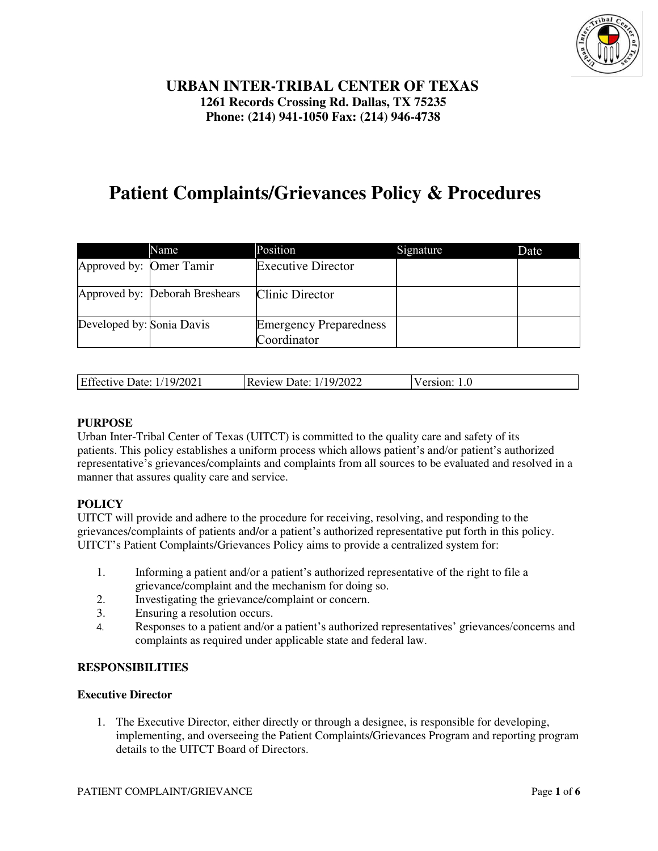

# **URBAN INTER-TRIBAL CENTER OF TEXAS 1261 Records Crossing Rd. Dallas, TX 75235 Phone: (214) 941-1050 Fax: (214) 946-4738**

# **Patient Complaints/Grievances Policy & Procedures**

|                           | Name                           | Position                                     | Signature | Date |
|---------------------------|--------------------------------|----------------------------------------------|-----------|------|
| Approved by: Omer Tamir   |                                | <b>Executive Director</b>                    |           |      |
|                           | Approved by: Deborah Breshears | Clinic Director                              |           |      |
| Developed by: Sonia Davis |                                | <b>Emergency Preparedness</b><br>Coordinator |           |      |

| Effective Date: 1/19/2021 | <b>Review Date: 1/19/2022</b> | Version: 1.0 |
|---------------------------|-------------------------------|--------------|

#### **PURPOSE**

Urban Inter-Tribal Center of Texas (UITCT) is committed to the quality care and safety of its patients. This policy establishes a uniform process which allows patient's and/or patient's authorized representative's grievances/complaints and complaints from all sources to be evaluated and resolved in a manner that assures quality care and service.

# **POLICY**

UITCT will provide and adhere to the procedure for receiving, resolving, and responding to the grievances/complaints of patients and/or a patient's authorized representative put forth in this policy. UITCT's Patient Complaints/Grievances Policy aims to provide a centralized system for:

- 1. Informing a patient and/or a patient's authorized representative of the right to file a grievance/complaint and the mechanism for doing so.
- 2. Investigating the grievance/complaint or concern.
- 3. Ensuring a resolution occurs.
- 4. Responses to a patient and/or a patient's authorized representatives' grievances/concerns and complaints as required under applicable state and federal law.

#### **RESPONSIBILITIES**

#### **Executive Director**

1. The Executive Director, either directly or through a designee, is responsible for developing, implementing, and overseeing the Patient Complaints/Grievances Program and reporting program details to the UITCT Board of Directors.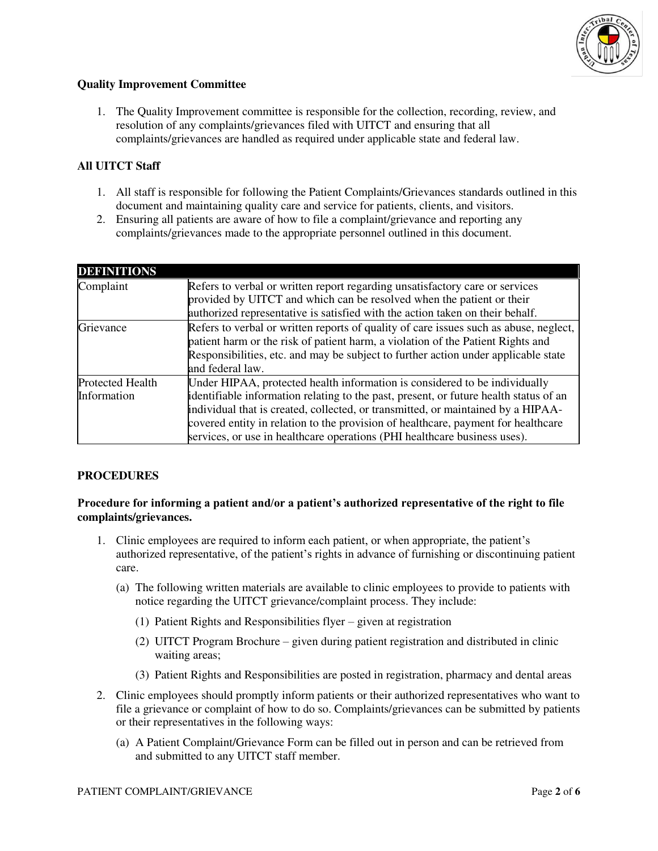

#### **Quality Improvement Committee**

1. The Quality Improvement committee is responsible for the collection, recording, review, and resolution of any complaints/grievances filed with UITCT and ensuring that all complaints/grievances are handled as required under applicable state and federal law.

# **All UITCT Staff**

- 1. All staff is responsible for following the Patient Complaints/Grievances standards outlined in this document and maintaining quality care and service for patients, clients, and visitors.
- 2. Ensuring all patients are aware of how to file a complaint/grievance and reporting any complaints/grievances made to the appropriate personnel outlined in this document.

| <b>DEFINITIONS</b>      |                                                                                                                                                                                                                                                                |  |
|-------------------------|----------------------------------------------------------------------------------------------------------------------------------------------------------------------------------------------------------------------------------------------------------------|--|
| Complaint               | Refers to verbal or written report regarding unsatisfactory care or services                                                                                                                                                                                   |  |
|                         | provided by UITCT and which can be resolved when the patient or their                                                                                                                                                                                          |  |
|                         | authorized representative is satisfied with the action taken on their behalf.                                                                                                                                                                                  |  |
| Grievance               | Refers to verbal or written reports of quality of care issues such as abuse, neglect,<br>patient harm or the risk of patient harm, a violation of the Patient Rights and<br>Responsibilities, etc. and may be subject to further action under applicable state |  |
|                         | and federal law.                                                                                                                                                                                                                                               |  |
| <b>Protected Health</b> | Under HIPAA, protected health information is considered to be individually                                                                                                                                                                                     |  |
| Information             | identifiable information relating to the past, present, or future health status of an<br>individual that is created, collected, or transmitted, or maintained by a HIPAA-                                                                                      |  |
|                         | covered entity in relation to the provision of healthcare, payment for healthcare                                                                                                                                                                              |  |
|                         | services, or use in healthcare operations (PHI healthcare business uses).                                                                                                                                                                                      |  |

#### **PROCEDURES**

**Procedure for informing a patient and/or a patient's authorized representative of the right to file complaints/grievances.** 

- 1. Clinic employees are required to inform each patient, or when appropriate, the patient's authorized representative, of the patient's rights in advance of furnishing or discontinuing patient care.
	- (a) The following written materials are available to clinic employees to provide to patients with notice regarding the UITCT grievance/complaint process. They include:
		- (1) Patient Rights and Responsibilities flyer given at registration
		- (2) UITCT Program Brochure given during patient registration and distributed in clinic waiting areas;
		- (3) Patient Rights and Responsibilities are posted in registration, pharmacy and dental areas
- 2. Clinic employees should promptly inform patients or their authorized representatives who want to file a grievance or complaint of how to do so. Complaints/grievances can be submitted by patients or their representatives in the following ways:
	- (a) A Patient Complaint/Grievance Form can be filled out in person and can be retrieved from and submitted to any UITCT staff member.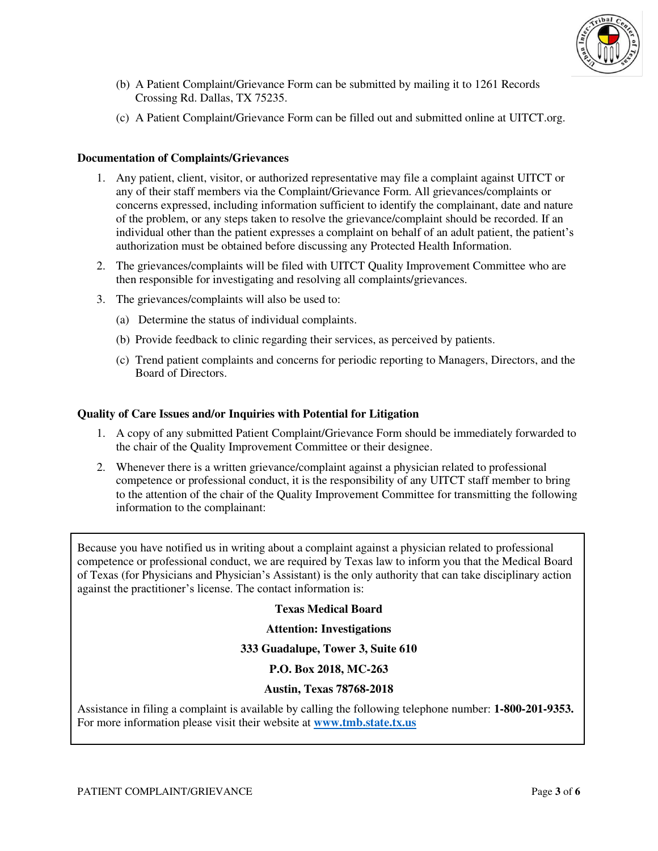

- (b) A Patient Complaint/Grievance Form can be submitted by mailing it to 1261 Records Crossing Rd. Dallas, TX 75235.
- (c) A Patient Complaint/Grievance Form can be filled out and submitted online at UITCT.org.

#### **Documentation of Complaints/Grievances**

- 1. Any patient, client, visitor, or authorized representative may file a complaint against UITCT or any of their staff members via the Complaint/Grievance Form. All grievances/complaints or concerns expressed, including information sufficient to identify the complainant, date and nature of the problem, or any steps taken to resolve the grievance/complaint should be recorded. If an individual other than the patient expresses a complaint on behalf of an adult patient, the patient's authorization must be obtained before discussing any Protected Health Information.
- 2. The grievances/complaints will be filed with UITCT Quality Improvement Committee who are then responsible for investigating and resolving all complaints/grievances.
- 3. The grievances/complaints will also be used to:
	- (a) Determine the status of individual complaints.
	- (b) Provide feedback to clinic regarding their services, as perceived by patients.
	- (c) Trend patient complaints and concerns for periodic reporting to Managers, Directors, and the Board of Directors.

#### **Quality of Care Issues and/or Inquiries with Potential for Litigation**

- 1. A copy of any submitted Patient Complaint/Grievance Form should be immediately forwarded to the chair of the Quality Improvement Committee or their designee.
- 2. Whenever there is a written grievance/complaint against a physician related to professional competence or professional conduct, it is the responsibility of any UITCT staff member to bring to the attention of the chair of the Quality Improvement Committee for transmitting the following information to the complainant:

Because you have notified us in writing about a complaint against a physician related to professional competence or professional conduct, we are required by Texas law to inform you that the Medical Board of Texas (for Physicians and Physician's Assistant) is the only authority that can take disciplinary action against the practitioner's license. The contact information is:

#### **Texas Medical Board**

#### **Attention: Investigations**

#### **333 Guadalupe, Tower 3, Suite 610**

#### **P.O. Box 2018, MC-263**

#### **Austin, Texas 78768-2018**

Assistance in filing a complaint is available by calling the following telephone number: **1-800-201-9353.**  For more information please visit their website at **[www.tmb.state.tx.us](http://www.tmb.state.tx.us/)**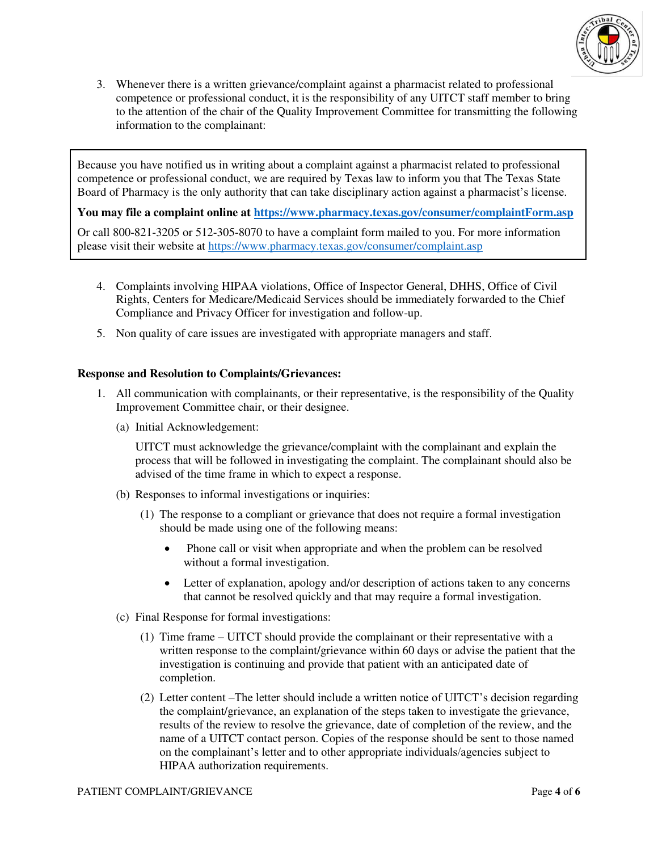

3. Whenever there is a written grievance/complaint against a pharmacist related to professional competence or professional conduct, it is the responsibility of any UITCT staff member to bring to the attention of the chair of the Quality Improvement Committee for transmitting the following information to the complainant:

Because you have notified us in writing about a complaint against a pharmacist related to professional competence or professional conduct, we are required by Texas law to inform you that The Texas State Board of Pharmacy is the only authority that can take disciplinary action against a pharmacist's license.

**You may file a complaint online at<https://www.pharmacy.texas.gov/consumer/complaintForm.asp>**

Or call 800-821-3205 or 512-305-8070 to have a complaint form mailed to you. For more information please visit their website at<https://www.pharmacy.texas.gov/consumer/complaint.asp>

- 4. Complaints involving HIPAA violations, Office of Inspector General, DHHS, Office of Civil Rights, Centers for Medicare/Medicaid Services should be immediately forwarded to the Chief Compliance and Privacy Officer for investigation and follow-up.
- 5. Non quality of care issues are investigated with appropriate managers and staff.

#### **Response and Resolution to Complaints/Grievances:**

- 1. All communication with complainants, or their representative, is the responsibility of the Quality Improvement Committee chair, or their designee.
	- (a) Initial Acknowledgement:

UITCT must acknowledge the grievance/complaint with the complainant and explain the process that will be followed in investigating the complaint. The complainant should also be advised of the time frame in which to expect a response.

- (b) Responses to informal investigations or inquiries:
	- (1) The response to a compliant or grievance that does not require a formal investigation should be made using one of the following means:
		- Phone call or visit when appropriate and when the problem can be resolved without a formal investigation.
		- Letter of explanation, apology and/or description of actions taken to any concerns that cannot be resolved quickly and that may require a formal investigation.
- (c) Final Response for formal investigations:
	- (1) Time frame UITCT should provide the complainant or their representative with a written response to the complaint/grievance within 60 days or advise the patient that the investigation is continuing and provide that patient with an anticipated date of completion.
	- (2) Letter content –The letter should include a written notice of UITCT's decision regarding the complaint/grievance, an explanation of the steps taken to investigate the grievance, results of the review to resolve the grievance, date of completion of the review, and the name of a UITCT contact person. Copies of the response should be sent to those named on the complainant's letter and to other appropriate individuals/agencies subject to HIPAA authorization requirements.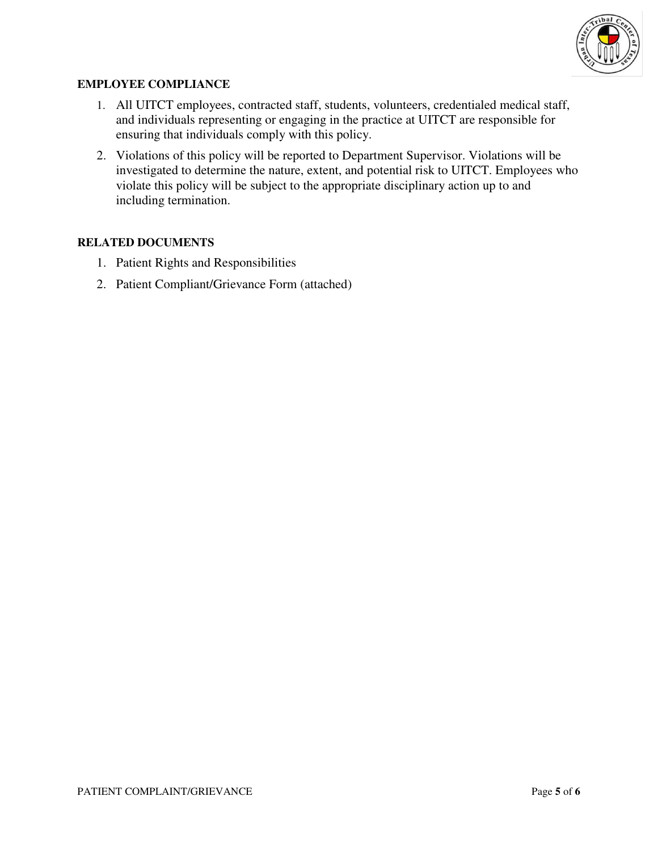

## **EMPLOYEE COMPLIANCE**

- 1. All UITCT employees, contracted staff, students, volunteers, credentialed medical staff, and individuals representing or engaging in the practice at UITCT are responsible for ensuring that individuals comply with this policy.
- 2. Violations of this policy will be reported to Department Supervisor. Violations will be investigated to determine the nature, extent, and potential risk to UITCT. Employees who violate this policy will be subject to the appropriate disciplinary action up to and including termination.

# **RELATED DOCUMENTS**

- 1. Patient Rights and Responsibilities
- 2. Patient Compliant/Grievance Form (attached)